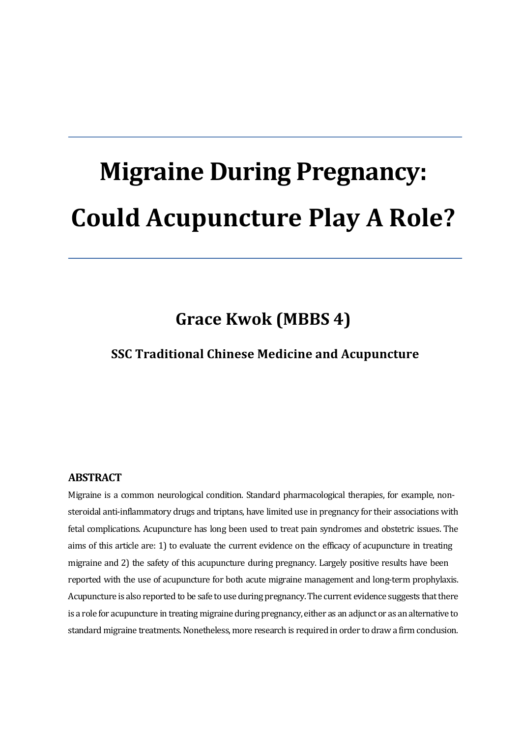# **Migraine During Pregnancy: Could Acupuncture Play A Role?**

### Grace **Kwok** (MBBS 4)

#### **SSC Traditional Chinese Medicine and Acupuncture**

#### **ABSTRACT**

Migraine is a common neurological condition. Standard pharmacological therapies, for example, nonsteroidal anti-inflammatory drugs and triptans, have limited use in pregnancy for their associations with fetal complications. Acupuncture has long been used to treat pain syndromes and obstetric issues. The aims of this article are: 1) to evaluate the current evidence on the efficacy of acupuncture in treating migraine and 2) the safety of this acupuncture during pregnancy. Largely positive results have been reported with the use of acupuncture for both acute migraine management and long-term prophylaxis. Acupuncture is also reported to be safe to use during pregnancy. The current evidence suggests that there is a role for acupuncture in treating migraine during pregnancy, either as an adjunct or as an alternative to standard migraine treatments. Nonetheless, more research is required in order to draw a firm conclusion.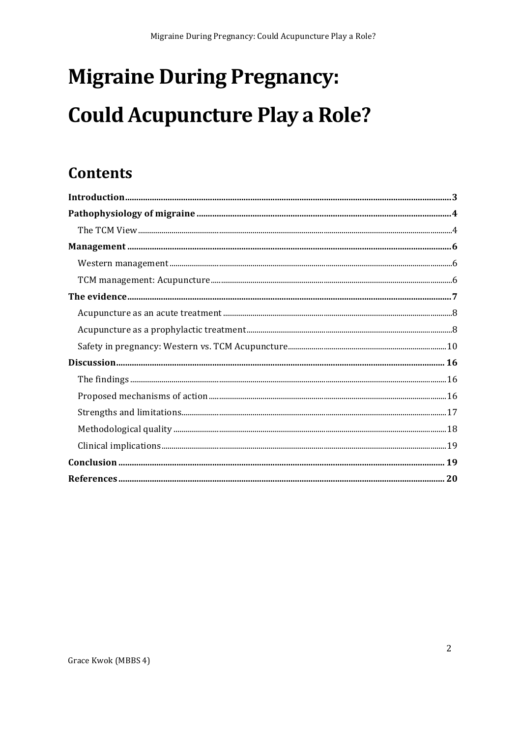## **Migraine During Pregnancy: Could Acupuncture Play a Role?**

### **Contents**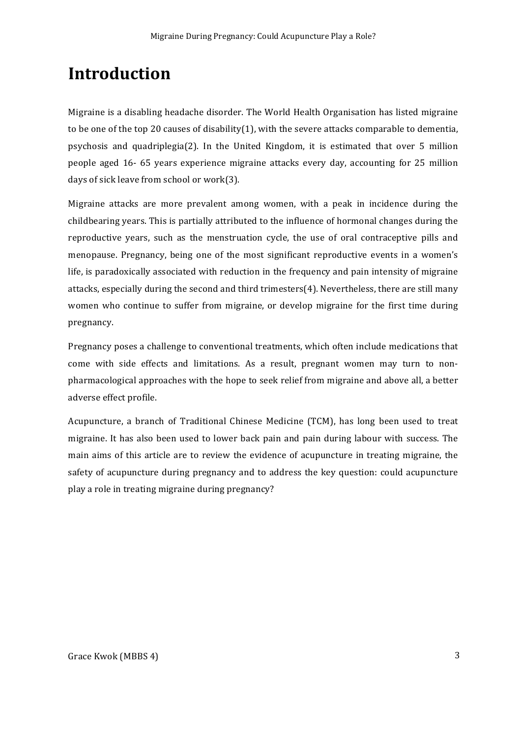### **Introduction**

Migraine is a disabling headache disorder. The World Health Organisation has listed migraine to be one of the top 20 causes of disability(1), with the severe attacks comparable to dementia, psychosis and quadriplegia(2). In the United Kingdom, it is estimated that over 5 million people aged 16- 65 years experience migraine attacks every day, accounting for 25 million days of sick leave from school or work(3).

Migraine attacks are more prevalent among women, with a peak in incidence during the childbearing years. This is partially attributed to the influence of hormonal changes during the reproductive years, such as the menstruation cycle, the use of oral contraceptive pills and menopause. Pregnancy, being one of the most significant reproductive events in a women's life, is paradoxically associated with reduction in the frequency and pain intensity of migraine attacks, especially during the second and third trimesters $(4)$ . Nevertheless, there are still many women who continue to suffer from migraine, or develop migraine for the first time during pregnancy. 

Pregnancy poses a challenge to conventional treatments, which often include medications that come with side effects and limitations. As a result, pregnant women may turn to nonpharmacological approaches with the hope to seek relief from migraine and above all, a better adverse effect profile.

Acupuncture, a branch of Traditional Chinese Medicine (TCM), has long been used to treat migraine. It has also been used to lower back pain and pain during labour with success. The main aims of this article are to review the evidence of acupuncture in treating migraine, the safety of acupuncture during pregnancy and to address the key question: could acupuncture play a role in treating migraine during pregnancy?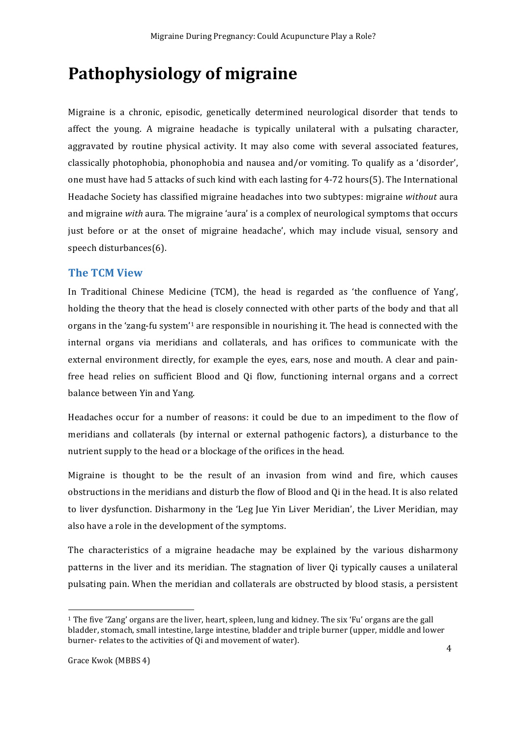### **Pathophysiology of migraine**

Migraine is a chronic, episodic, genetically determined neurological disorder that tends to affect the young. A migraine headache is typically unilateral with a pulsating character, aggravated by routine physical activity. It may also come with several associated features, classically photophobia, phonophobia and nausea and/or vomiting. To qualify as a 'disorder', one must have had 5 attacks of such kind with each lasting for  $4-72$  hours(5). The International Headache Society has classified migraine headaches into two subtypes: migraine *without* aura and migraine *with* aura. The migraine 'aura' is a complex of neurological symptoms that occurs just before or at the onset of migraine headache', which may include visual, sensory and speech disturbances(6). 

#### **The TCM View**

In Traditional Chinese Medicine (TCM), the head is regarded as 'the confluence of Yang', holding the theory that the head is closely connected with other parts of the body and that all organs in the 'zang-fu system'<sup>1</sup> are responsible in nourishing it. The head is connected with the internal organs via meridians and collaterals, and has orifices to communicate with the external environment directly, for example the eyes, ears, nose and mouth. A clear and painfree head relies on sufficient Blood and Qi flow, functioning internal organs and a correct balance between Yin and Yang.

Headaches occur for a number of reasons: it could be due to an impediment to the flow of meridians and collaterals (by internal or external pathogenic factors), a disturbance to the nutrient supply to the head or a blockage of the orifices in the head.

Migraine is thought to be the result of an invasion from wind and fire, which causes obstructions in the meridians and disturb the flow of Blood and Qi in the head. It is also related to liver dysfunction. Disharmony in the 'Leg Jue Yin Liver Meridian', the Liver Meridian, may also have a role in the development of the symptoms.

The characteristics of a migraine headache may be explained by the various disharmony patterns in the liver and its meridian. The stagnation of liver Qi typically causes a unilateral pulsating pain. When the meridian and collaterals are obstructed by blood stasis, a persistent

 $1$  The five 'Zang' organs are the liver, heart, spleen, lung and kidney. The six 'Fu' organs are the gall bladder, stomach, small intestine, large intestine, bladder and triple burner (upper, middle and lower burner- relates to the activities of Qi and movement of water).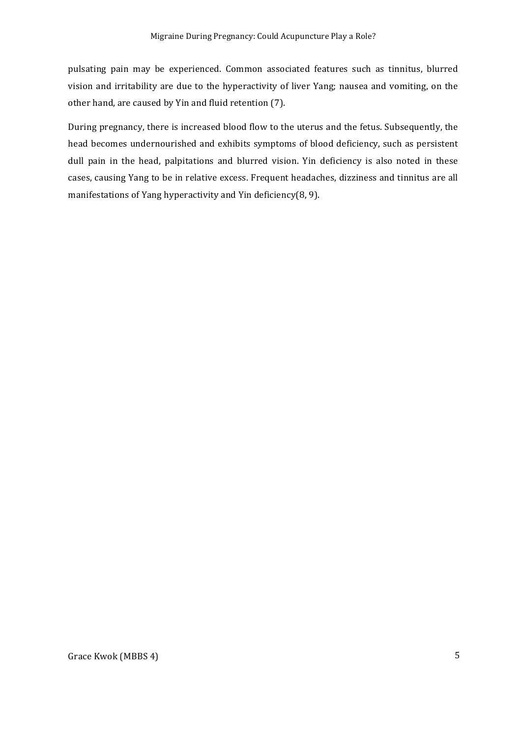pulsating pain may be experienced. Common associated features such as tinnitus, blurred vision and irritability are due to the hyperactivity of liver Yang; nausea and vomiting, on the other hand, are caused by Yin and fluid retention (7).

During pregnancy, there is increased blood flow to the uterus and the fetus. Subsequently, the head becomes undernourished and exhibits symptoms of blood deficiency, such as persistent dull pain in the head, palpitations and blurred vision. Yin deficiency is also noted in these cases, causing Yang to be in relative excess. Frequent headaches, dizziness and tinnitus are all manifestations of Yang hyperactivity and Yin deficiency(8, 9).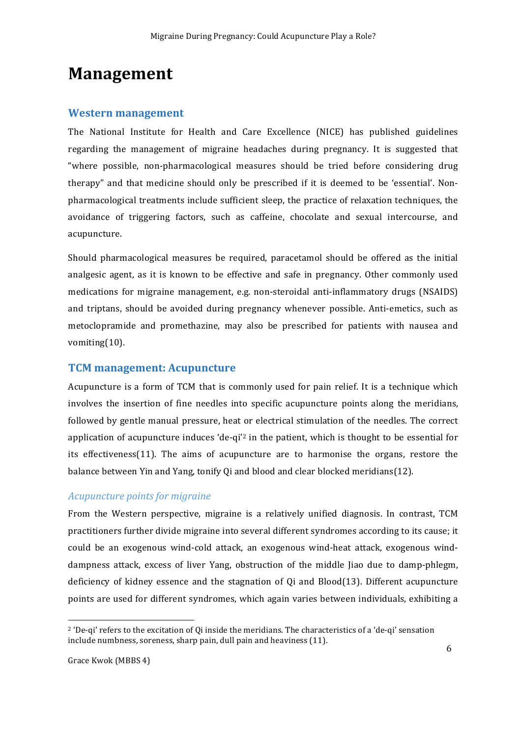### **Management**

#### **Western management**

The National Institute for Health and Care Excellence (NICE) has published guidelines regarding the management of migraine headaches during pregnancy. It is suggested that "where possible, non-pharmacological measures should be tried before considering drug therapy" and that medicine should only be prescribed if it is deemed to be 'essential'. Nonpharmacological treatments include sufficient sleep, the practice of relaxation techniques, the avoidance of triggering factors, such as caffeine, chocolate and sexual intercourse, and acupuncture. 

Should pharmacological measures be required, paracetamol should be offered as the initial analgesic agent, as it is known to be effective and safe in pregnancy. Other commonly used medications for migraine management, e.g. non-steroidal anti-inflammatory drugs (NSAIDS) and triptans, should be avoided during pregnancy whenever possible. Anti-emetics, such as metoclopramide and promethazine, may also be prescribed for patients with nausea and vomiting(10). 

#### **TCM** management: Acupuncture

Acupuncture is a form of TCM that is commonly used for pain relief. It is a technique which involves the insertion of fine needles into specific acupuncture points along the meridians, followed by gentle manual pressure, heat or electrical stimulation of the needles. The correct application of acupuncture induces 'de-qi'<sup>2</sup> in the patient, which is thought to be essential for its effectiveness(11). The aims of acupuncture are to harmonise the organs, restore the balance between Yin and Yang, tonify Qi and blood and clear blocked meridians(12).

#### *Acupuncture points for migraine*

From the Western perspective, migraine is a relatively unified diagnosis. In contrast, TCM practitioners further divide migraine into several different syndromes according to its cause; it could be an exogenous wind-cold attack, an exogenous wind-heat attack, exogenous winddampness attack, excess of liver Yang, obstruction of the middle Jiao due to damp-phlegm, deficiency of kidney essence and the stagnation of  $Qi$  and  $Blood(13)$ . Different acupuncture points are used for different syndromes, which again varies between individuals, exhibiting a

 $2$  'De-qi' refers to the excitation of Qi inside the meridians. The characteristics of a 'de-qi' sensation include numbness, soreness, sharp pain, dull pain and heaviness (11).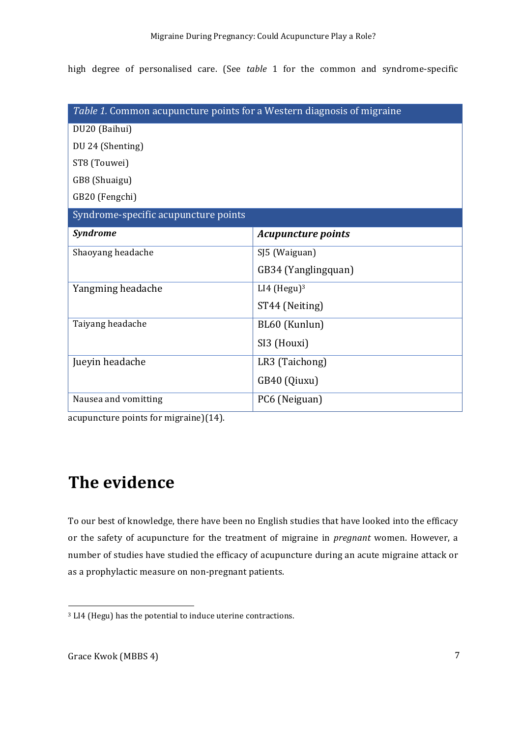high degree of personalised care. (See table 1 for the common and syndrome-specific

| Table 1. Common acupuncture points for a Western diagnosis of migraine |                           |  |  |
|------------------------------------------------------------------------|---------------------------|--|--|
| DU20 (Baihui)                                                          |                           |  |  |
| DU 24 (Shenting)                                                       |                           |  |  |
| ST8 (Touwei)                                                           |                           |  |  |
| GB8 (Shuaigu)                                                          |                           |  |  |
| GB20 (Fengchi)                                                         |                           |  |  |
| Syndrome-specific acupuncture points                                   |                           |  |  |
| <b>Syndrome</b>                                                        | <b>Acupuncture points</b> |  |  |
| Shaoyang headache                                                      | SJ5 (Waiguan)             |  |  |
|                                                                        | GB34 (Yanglingquan)       |  |  |
| Yangming headache                                                      | $LI4$ (Hegu) <sup>3</sup> |  |  |
|                                                                        | ST44 (Neiting)            |  |  |
| Taiyang headache                                                       | BL60 (Kunlun)             |  |  |
|                                                                        | SI3 (Houxi)               |  |  |
| Jueyin headache                                                        | LR3 (Taichong)            |  |  |
|                                                                        | GB40 (Qiuxu)              |  |  |
| Nausea and vomitting                                                   | PC6 (Neiguan)             |  |  |

acupuncture points for migraine) $(14)$ .

### **The evidence**

To our best of knowledge, there have been no English studies that have looked into the efficacy or the safety of acupuncture for the treatment of migraine in *pregnant* women. However, a number of studies have studied the efficacy of acupuncture during an acute migraine attack or as a prophylactic measure on non-pregnant patients.

<sup>&</sup>lt;sup>3</sup> LI4 (Hegu) has the potential to induce uterine contractions.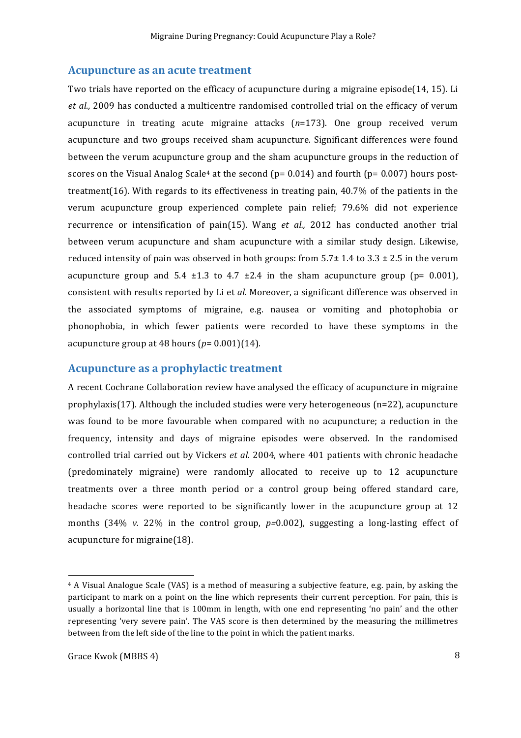#### **Acupuncture as an acute treatment**

Two trials have reported on the efficacy of acupuncture during a migraine episode(14, 15). Li *et al.,* 2009 has conducted a multicentre randomised controlled trial on the efficacy of verum acupuncture in treating acute migraine attacks  $(n=173)$ . One group received verum acupuncture and two groups received sham acupuncture. Significant differences were found between the verum acupuncture group and the sham acupuncture groups in the reduction of scores on the Visual Analog Scale<sup>4</sup> at the second ( $p= 0.014$ ) and fourth ( $p= 0.007$ ) hours posttreatment(16). With regards to its effectiveness in treating pain,  $40.7\%$  of the patients in the verum acupuncture group experienced complete pain relief; 79.6% did not experience recurrence or intensification of pain(15). Wang *et al.,* 2012 has conducted another trial between verum acupuncture and sham acupuncture with a similar study design. Likewise, reduced intensity of pain was observed in both groups: from  $5.7\pm 1.4$  to  $3.3 \pm 2.5$  in the verum acupuncture group and  $5.4 \pm 1.3$  to  $4.7 \pm 2.4$  in the sham acupuncture group (p= 0.001), consistent with results reported by Li et *al*. Moreover, a significant difference was observed in the associated symptoms of migraine, e.g. nausea or vomiting and photophobia or phonophobia, in which fewer patients were recorded to have these symptoms in the acupuncture group at 48 hours  $(p=0.001)(14)$ .

#### **Acupuncture as a prophylactic treatment**

A recent Cochrane Collaboration review have analysed the efficacy of acupuncture in migraine prophylaxis(17). Although the included studies were very heterogeneous (n=22), acupuncture was found to be more favourable when compared with no acupuncture; a reduction in the frequency, intensity and days of migraine episodes were observed. In the randomised controlled trial carried out by Vickers et al. 2004, where 401 patients with chronic headache (predominately migraine) were randomly allocated to receive up to 12 acupuncture treatments over a three month period or a control group being offered standard care, headache scores were reported to be significantly lower in the acupuncture group at 12 months  $(34\% \nu. 22\%$  in the control group,  $p=0.002$ ), suggesting a long-lasting effect of acupuncture for migraine $(18)$ .

 $4$  A Visual Analogue Scale (VAS) is a method of measuring a subjective feature, e.g. pain, by asking the participant to mark on a point on the line which represents their current perception. For pain, this is usually a horizontal line that is 100mm in length, with one end representing 'no pain' and the other representing 'very severe pain'. The VAS score is then determined by the measuring the millimetres between from the left side of the line to the point in which the patient marks.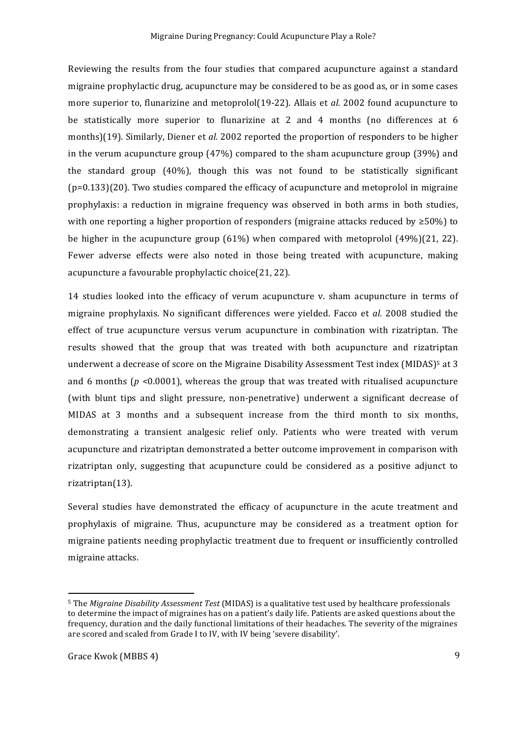Reviewing the results from the four studies that compared acupuncture against a standard migraine prophylactic drug, acupuncture may be considered to be as good as, or in some cases more superior to, flunarizine and metoprolol(19-22). Allais et *al.* 2002 found acupuncture to be statistically more superior to flunarizine at 2 and 4 months (no differences at 6 months)(19). Similarly, Diener et *al.* 2002 reported the proportion of responders to be higher in the verum acupuncture group  $(47%)$  compared to the sham acupuncture group  $(39%)$  and the standard group  $(40\%)$ , though this was not found to be statistically significant  $(p=0.133)(20)$ . Two studies compared the efficacy of acupuncture and metoprolol in migraine prophylaxis: a reduction in migraine frequency was observed in both arms in both studies, with one reporting a higher proportion of responders (migraine attacks reduced by  $\geq 50\%$ ) to be higher in the acupuncture group  $(61\%)$  when compared with metoprolol  $(49\%)$  $(21, 22)$ . Fewer adverse effects were also noted in those being treated with acupuncture, making acupuncture a favourable prophylactic choice(21, 22).

14 studies looked into the efficacy of verum acupuncture v. sham acupuncture in terms of migraine prophylaxis. No significant differences were yielded. Facco et *al.* 2008 studied the effect of true acupuncture versus verum acupuncture in combination with rizatriptan. The results showed that the group that was treated with both acupuncture and rizatriptan underwent a decrease of score on the Migraine Disability Assessment Test index  $(MIDAS)^5$  at 3 and 6 months ( $p \le 0.0001$ ), whereas the group that was treated with ritualised acupuncture (with blunt tips and slight pressure, non-penetrative) underwent a significant decrease of MIDAS at 3 months and a subsequent increase from the third month to six months, demonstrating a transient analgesic relief only. Patients who were treated with verum acupuncture and rizatriptan demonstrated a better outcome improvement in comparison with rizatriptan only, suggesting that acupuncture could be considered as a positive adjunct to rizatriptan(13). 

Several studies have demonstrated the efficacy of acupuncture in the acute treatment and prophylaxis of migraine. Thus, acupuncture may be considered as a treatment option for migraine patients needing prophylactic treatment due to frequent or insufficiently controlled migraine attacks.

<sup>&</sup>lt;sup>5</sup> The *Migraine Disability Assessment Test* (MIDAS) is a qualitative test used by healthcare professionals to determine the impact of migraines has on a patient's daily life. Patients are asked questions about the frequency, duration and the daily functional limitations of their headaches. The severity of the migraines are scored and scaled from Grade I to IV, with IV being 'severe disability'.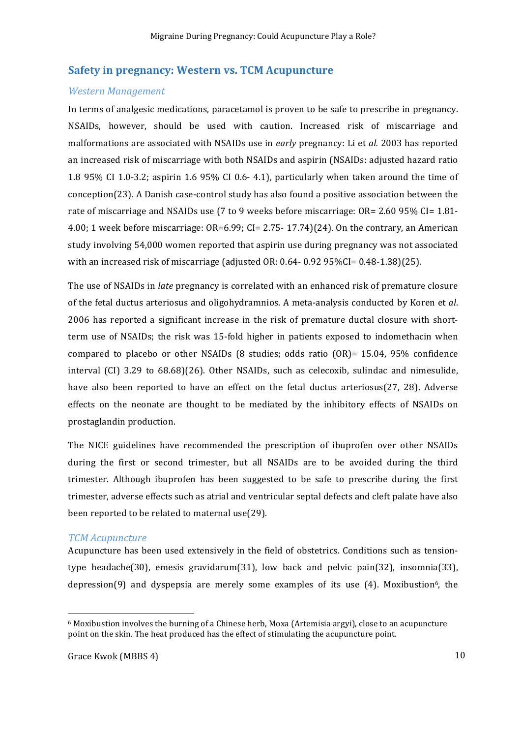#### **Safety in pregnancy: Western vs. TCM Acupuncture**

#### *Western Management*

In terms of analgesic medications, paracetamol is proven to be safe to prescribe in pregnancy. NSAIDs, however, should be used with caution. Increased risk of miscarriage and malformations are associated with NSAIDs use in *early* pregnancy: Li et *al.* 2003 has reported an increased risk of miscarriage with both NSAIDs and aspirin (NSAIDs: adjusted hazard ratio 1.8 95% CI 1.0-3.2; aspirin 1.6 95% CI 0.6- 4.1), particularly when taken around the time of conception(23). A Danish case-control study has also found a positive association between the rate of miscarriage and NSAIDs use (7 to 9 weeks before miscarriage:  $OR = 2.60$  95%  $CI = 1.81$ -4.00; 1 week before miscarriage:  $OR=6.99$ ;  $CI=2.75-17.74$  $(24)$ . On the contrary, an American study involving 54,000 women reported that aspirin use during pregnancy was not associated with an increased risk of miscarriage (adjusted OR:  $0.64 - 0.92$  95%CI=  $0.48 - 1.38$ )(25).

The use of NSAIDs in *late* pregnancy is correlated with an enhanced risk of premature closure of the fetal ductus arteriosus and oligohydramnios. A meta-analysis conducted by Koren et *al*. 2006 has reported a significant increase in the risk of premature ductal closure with shortterm use of NSAIDs; the risk was 15-fold higher in patients exposed to indomethacin when compared to placebo or other NSAIDs  $(8 \text{ studies}; \text{odds ratio } (OR) = 15.04, 95\% \text{ confidence}$ interval  $\left(CI\right)$  3.29 to 68.68) $(26)$ . Other NSAIDs, such as celecoxib, sulindac and nimesulide, have also been reported to have an effect on the fetal ductus arteriosus( $27$ ,  $28$ ). Adverse effects on the neonate are thought to be mediated by the inhibitory effects of NSAIDs on prostaglandin production.

The NICE guidelines have recommended the prescription of ibuprofen over other NSAIDs during the first or second trimester, but all NSAIDs are to be avoided during the third trimester. Although ibuprofen has been suggested to be safe to prescribe during the first trimester, adverse effects such as atrial and ventricular septal defects and cleft palate have also been reported to be related to maternal use(29).

#### *TCM Acupuncture*

Acupuncture has been used extensively in the field of obstetrics. Conditions such as tensiontype headache(30), emesis gravidarum(31), low back and pelvic  $\pi$ in(32), insomnia(33), depression(9) and dyspepsia are merely some examples of its use  $(4)$ . Moxibustion<sup>6</sup>, the

 $6$  Moxibustion involves the burning of a Chinese herb, Moxa (Artemisia argyi), close to an acupuncture point on the skin. The heat produced has the effect of stimulating the acupuncture point.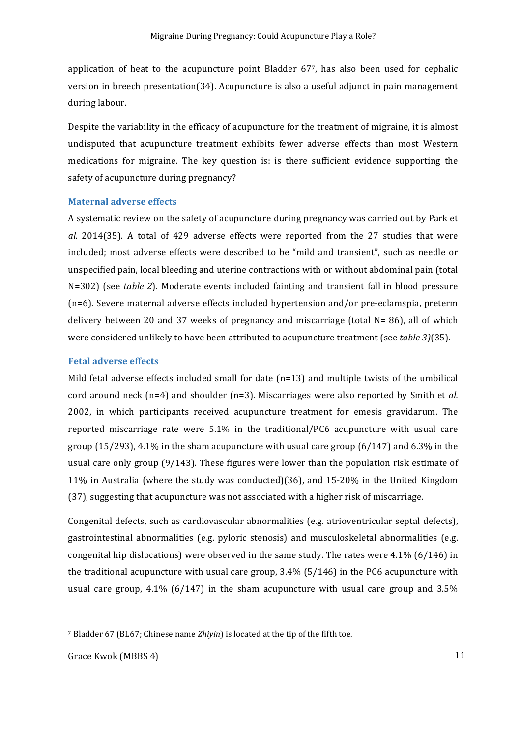application of heat to the acupuncture point Bladder  $67$ , has also been used for cephalic version in breech presentation( $34$ ). Acupuncture is also a useful adjunct in pain management during labour.

Despite the variability in the efficacy of acupuncture for the treatment of migraine, it is almost undisputed that acupuncture treatment exhibits fewer adverse effects than most Western medications for migraine. The key question is: is there sufficient evidence supporting the safety of acupuncture during pregnancy?

#### **Maternal adverse effects**

A systematic review on the safety of acupuncture during pregnancy was carried out by Park et al. 2014(35). A total of 429 adverse effects were reported from the 27 studies that were included; most adverse effects were described to be "mild and transient", such as needle or unspecified pain, local bleeding and uterine contractions with or without abdominal pain (total N=302) (see *table 2*). Moderate events included fainting and transient fall in blood pressure  $(n=6)$ . Severe maternal adverse effects included hypertension and/or pre-eclamspia, preterm delivery between 20 and 37 weeks of pregnancy and miscarriage (total  $N=86$ ), all of which were considered unlikely to have been attributed to acupuncture treatment (see *table 3*)(35).

#### **Fetal adverse effects**

Mild fetal adverse effects included small for date  $(n=13)$  and multiple twists of the umbilical cord around neck  $(n=4)$  and shoulder  $(n=3)$ . Miscarriages were also reported by Smith et *al.* 2002, in which participants received acupuncture treatment for emesis gravidarum. The reported miscarriage rate were  $5.1\%$  in the traditional/PC6 acupuncture with usual care group  $(15/293)$ , 4.1% in the sham acupuncture with usual care group  $(6/147)$  and  $6.3\%$  in the usual care only group  $(9/143)$ . These figures were lower than the population risk estimate of 11% in Australia (where the study was conducted)(36), and  $15{\text -}20\%$  in the United Kingdom (37), suggesting that acupuncture was not associated with a higher risk of miscarriage.

Congenital defects, such as cardiovascular abnormalities (e.g. atrioventricular septal defects), gastrointestinal abnormalities (e.g. pyloric stenosis) and musculoskeletal abnormalities (e.g. congenital hip dislocations) were observed in the same study. The rates were  $4.1\%$  (6/146) in the traditional acupuncture with usual care group,  $3.4\%$  (5/146) in the PC6 acupuncture with usual care group,  $4.1\%$  (6/147) in the sham acupuncture with usual care group and  $3.5\%$ 

<sup>&</sup>lt;sup>7</sup> Bladder 67 (BL67; Chinese name *Zhiyin*) is located at the tip of the fifth toe.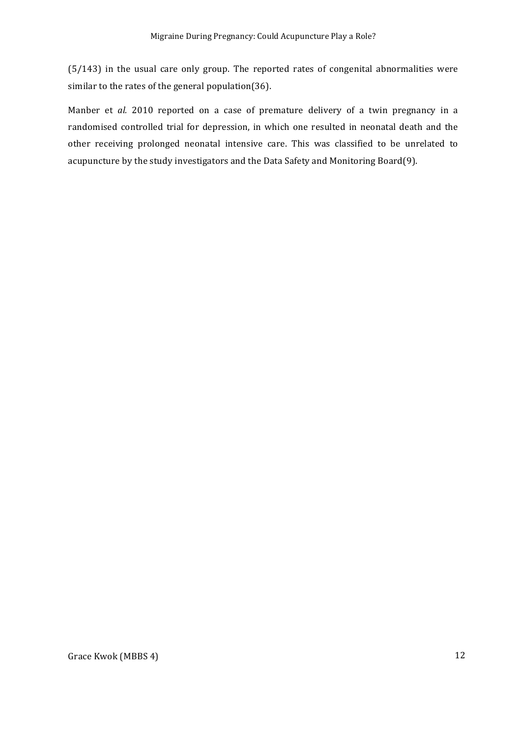$(5/143)$  in the usual care only group. The reported rates of congenital abnormalities were similar to the rates of the general population(36).

Manber et al. 2010 reported on a case of premature delivery of a twin pregnancy in a randomised controlled trial for depression, in which one resulted in neonatal death and the other receiving prolonged neonatal intensive care. This was classified to be unrelated to acupuncture by the study investigators and the Data Safety and Monitoring Board(9).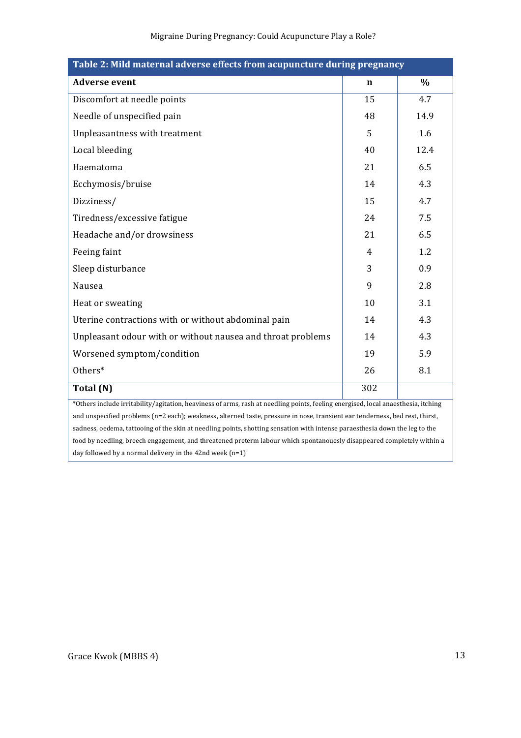| Table 2: Mild maternal adverse effects from acupuncture during pregnancy                                                          |             |      |  |
|-----------------------------------------------------------------------------------------------------------------------------------|-------------|------|--|
| <b>Adverse event</b>                                                                                                              | $\mathbf n$ | $\%$ |  |
| Discomfort at needle points                                                                                                       | 15          | 4.7  |  |
| Needle of unspecified pain                                                                                                        | 48          | 14.9 |  |
| Unpleasantness with treatment                                                                                                     | 5           | 1.6  |  |
| Local bleeding                                                                                                                    | 40          | 12.4 |  |
| Haematoma                                                                                                                         | 21          | 6.5  |  |
| Ecchymosis/bruise                                                                                                                 | 14          | 4.3  |  |
| Dizziness/                                                                                                                        | 15          | 4.7  |  |
| Tiredness/excessive fatigue                                                                                                       | 24          | 7.5  |  |
| Headache and/or drowsiness                                                                                                        | 21          | 6.5  |  |
| Feeing faint                                                                                                                      | 4           | 1.2  |  |
| Sleep disturbance                                                                                                                 | 3           | 0.9  |  |
| Nausea                                                                                                                            | 9           | 2.8  |  |
| Heat or sweating                                                                                                                  | 10          | 3.1  |  |
| Uterine contractions with or without abdominal pain                                                                               | 14          | 4.3  |  |
| Unpleasant odour with or without nausea and throat problems                                                                       | 14          | 4.3  |  |
| Worsened symptom/condition                                                                                                        | 19          | 5.9  |  |
| Others*                                                                                                                           | 26          | 8.1  |  |
| Total (N)                                                                                                                         | 302         |      |  |
| *Others include irritability/agitation, heaviness of arms, rash at needling points, feeling energised, local anaesthesia, itching |             |      |  |
| and unspecified problems (n=2 each); weakness, alterned taste, pressure in nose, transient ear tenderness, bed rest, thirst,      |             |      |  |
| sadness, oedema, tattooing of the skin at needling points, shotting sensation with intense paraesthesia down the leg to the       |             |      |  |

food by needling, breech engagement, and threatened preterm labour which spontanouesly disappeared completely within a day followed by a normal delivery in the  $42n$ d week  $(n=1)$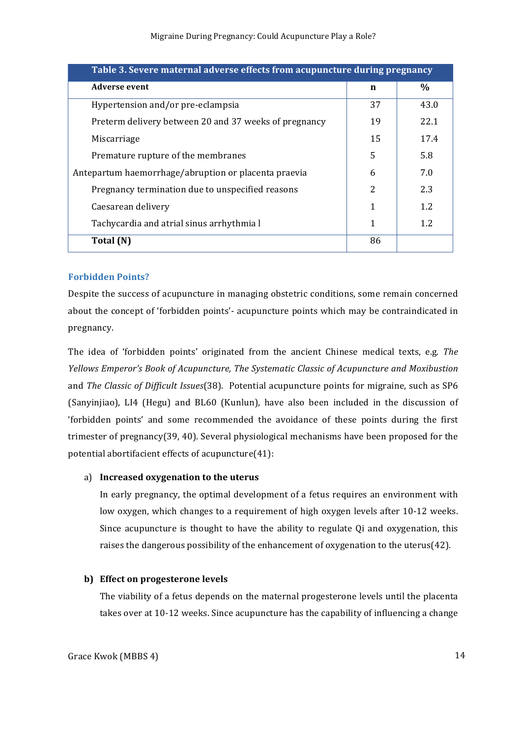| Table 3. Severe maternal adverse effects from acupuncture during pregnancy |    |      |  |
|----------------------------------------------------------------------------|----|------|--|
| <b>Adverse event</b>                                                       | n  | $\%$ |  |
| Hypertension and/or pre-eclampsia                                          | 37 | 43.0 |  |
| Preterm delivery between 20 and 37 weeks of pregnancy                      | 19 | 22.1 |  |
| Miscarriage                                                                | 15 | 17.4 |  |
| Premature rupture of the membranes                                         | 5  | 5.8  |  |
| Antepartum haemorrhage/abruption or placenta praevia                       | 6  | 7.0  |  |
| Pregnancy termination due to unspecified reasons                           | 2  | 2.3  |  |
| Caesarean delivery                                                         |    | 1.2  |  |
| Tachycardia and atrial sinus arrhythmia l                                  |    | 1.2  |  |
| Total (N)                                                                  | 86 |      |  |

#### **Forbidden Points?**

Despite the success of acupuncture in managing obstetric conditions, some remain concerned about the concept of 'forbidden points'- acupuncture points which may be contraindicated in pregnancy.

The idea of 'forbidden points' originated from the ancient Chinese medical texts, e.g. *The Yellows Emperor's Book of Acupuncture, The Systematic Classic of Acupuncture and Moxibustion* and *The Classic of Difficult Issues*(38). Potential acupuncture points for migraine, such as SP6 (Sanyinjiao), LI4 (Hegu) and BL60 (Kunlun), have also been included in the discussion of 'forbidden points' and some recommended the avoidance of these points during the first trimester of pregnancy(39, 40). Several physiological mechanisms have been proposed for the potential abortifacient effects of acupuncture $(41)$ :

#### a) **Increased oxygenation** to the uterus

In early pregnancy, the optimal development of a fetus requires an environment with low oxygen, which changes to a requirement of high oxygen levels after 10-12 weeks. Since acupuncture is thought to have the ability to regulate Oi and oxygenation, this raises the dangerous possibility of the enhancement of oxygenation to the uterus(42).

#### **b)** Effect on progesterone levels

The viability of a fetus depends on the maternal progesterone levels until the placenta takes over at 10-12 weeks. Since acupuncture has the capability of influencing a change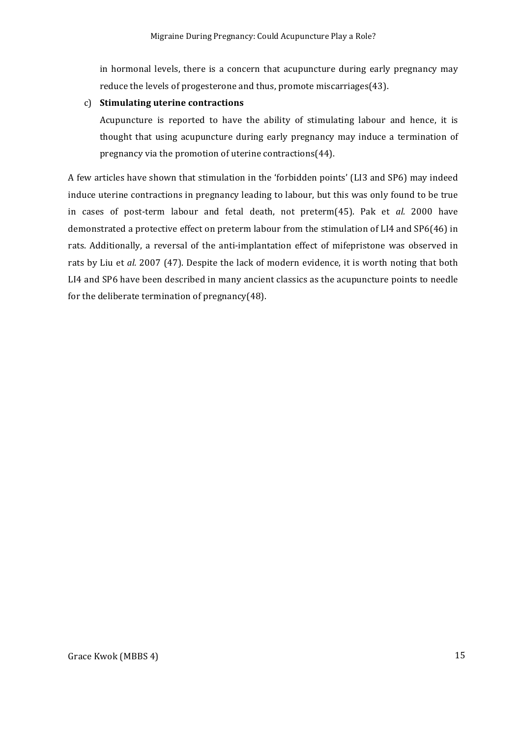in hormonal levels, there is a concern that acupuncture during early pregnancy may reduce the levels of progesterone and thus, promote miscarriages(43).

#### c) **Stimulating uterine contractions**

Acupuncture is reported to have the ability of stimulating labour and hence, it is thought that using acupuncture during early pregnancy may induce a termination of pregnancy via the promotion of uterine contractions $(44)$ .

A few articles have shown that stimulation in the 'forbidden points' (LI3 and SP6) may indeed induce uterine contractions in pregnancy leading to labour, but this was only found to be true in cases of post-term labour and fetal death, not preterm(45). Pak et al. 2000 have demonstrated a protective effect on preterm labour from the stimulation of LI4 and SP6(46) in rats. Additionally, a reversal of the anti-implantation effect of mifepristone was observed in rats by Liu et al. 2007 (47). Despite the lack of modern evidence, it is worth noting that both LI4 and SP6 have been described in many ancient classics as the acupuncture points to needle for the deliberate termination of pregnancy $(48)$ .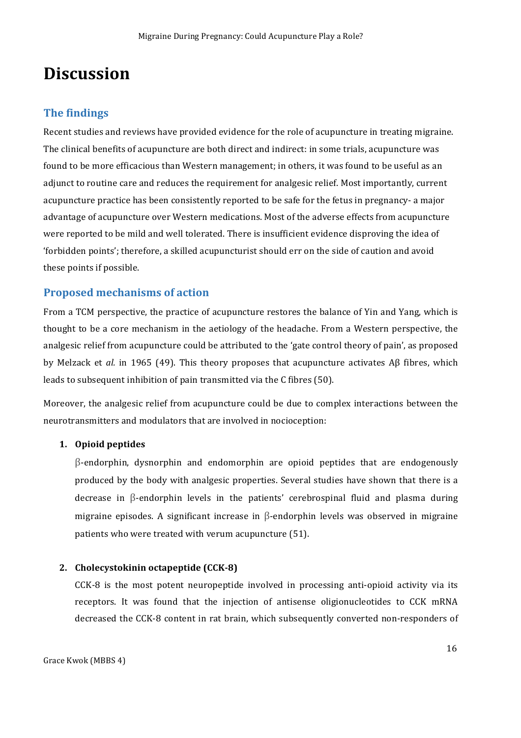### **Discussion**

#### **The findings**

Recent studies and reviews have provided evidence for the role of acupuncture in treating migraine. The clinical benefits of acupuncture are both direct and indirect: in some trials, acupuncture was found to be more efficacious than Western management; in others, it was found to be useful as an adjunct to routine care and reduces the requirement for analgesic relief. Most importantly, current acupuncture practice has been consistently reported to be safe for the fetus in pregnancy- a major advantage of acupuncture over Western medications. Most of the adverse effects from acupuncture were reported to be mild and well tolerated. There is insufficient evidence disproving the idea of 'forbidden points'; therefore, a skilled acupuncturist should err on the side of caution and avoid these points if possible.

#### **Proposed mechanisms of action**

From a TCM perspective, the practice of acupuncture restores the balance of Yin and Yang, which is thought to be a core mechanism in the aetiology of the headache. From a Western perspective, the analgesic relief from acupuncture could be attributed to the 'gate control theory of pain', as proposed by Melzack et *al.* in 1965 (49). This theory proposes that acupuncture activates Aβ fibres, which leads to subsequent inhibition of pain transmitted via the  $C$  fibres (50).

Moreover, the analgesic relief from acupuncture could be due to complex interactions between the neurotransmitters and modulators that are involved in nocioception:

#### 1. Opioid peptides

 $\beta$ -endorphin, dysnorphin and endomorphin are opioid peptides that are endogenously produced by the body with analgesic properties. Several studies have shown that there is a decrease in  $\beta$ -endorphin levels in the patients' cerebrospinal fluid and plasma during migraine episodes. A significant increase in  $\beta$ -endorphin levels was observed in migraine patients who were treated with verum acupuncture (51).

#### **2. Cholecystokinin octapeptide** (CCK-8)

 $CCK-8$  is the most potent neuropeptide involved in processing anti-opioid activity via its receptors. It was found that the injection of antisense oligionucleotides to CCK mRNA decreased the CCK-8 content in rat brain, which subsequently converted non-responders of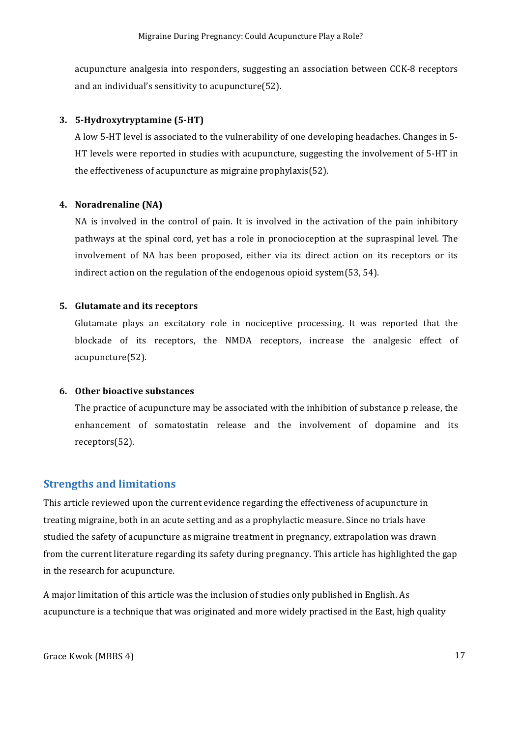acupuncture analgesia into responders, suggesting an association between CCK-8 receptors and an individual's sensitivity to acupuncture $(52)$ .

#### **3. 5-Hydroxytryptamine** (5-HT)

A low 5-HT level is associated to the vulnerability of one developing headaches. Changes in 5-HT levels were reported in studies with acupuncture, suggesting the involvement of 5-HT in the effectiveness of acupuncture as migraine prophylaxis(52).

#### **4. Noradrenaline (NA)**

NA is involved in the control of pain. It is involved in the activation of the pain inhibitory pathways at the spinal cord, yet has a role in pronocioception at the supraspinal level. The involvement of NA has been proposed, either via its direct action on its receptors or its indirect action on the regulation of the endogenous opioid system $(53, 54)$ .

#### **5. Glutamate and its receptors**

Glutamate plays an excitatory role in nociceptive processing. It was reported that the blockade of its receptors, the NMDA receptors, increase the analgesic effect of acupuncture(52). 

#### **6.** Other bioactive substances

The practice of acupuncture may be associated with the inhibition of substance p release, the enhancement of somatostatin release and the involvement of dopamine and its receptors(52). 

#### **Strengths and limitations**

This article reviewed upon the current evidence regarding the effectiveness of acupuncture in treating migraine, both in an acute setting and as a prophylactic measure. Since no trials have studied the safety of acupuncture as migraine treatment in pregnancy, extrapolation was drawn from the current literature regarding its safety during pregnancy. This article has highlighted the gap in the research for acupuncture.

A major limitation of this article was the inclusion of studies only published in English. As acupuncture is a technique that was originated and more widely practised in the East, high quality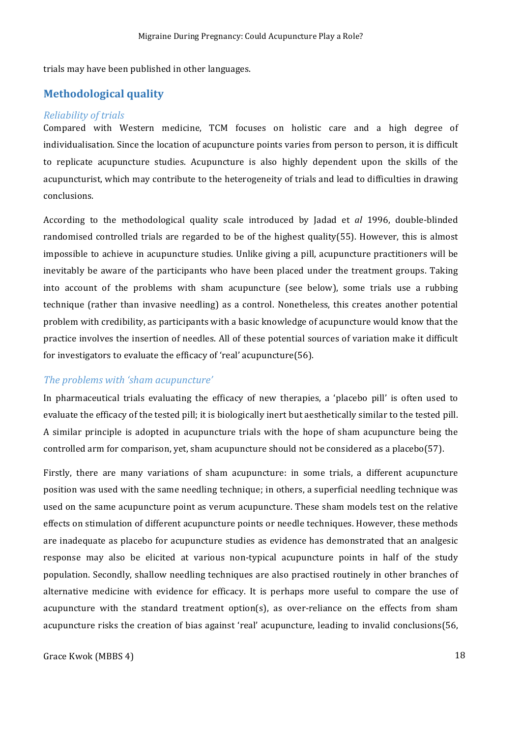trials may have been published in other languages.

#### **Methodological quality**

#### *Reliability of trials*

Compared with Western medicine, TCM focuses on holistic care and a high degree of individualisation. Since the location of acupuncture points varies from person to person, it is difficult to replicate acupuncture studies. Acupuncture is also highly dependent upon the skills of the acupuncturist, which may contribute to the heterogeneity of trials and lead to difficulties in drawing conclusions. 

According to the methodological quality scale introduced by ladad et *al* 1996, double-blinded randomised controlled trials are regarded to be of the highest quality(55). However, this is almost impossible to achieve in acupuncture studies. Unlike giving a pill, acupuncture practitioners will be inevitably be aware of the participants who have been placed under the treatment groups. Taking into account of the problems with sham acupuncture (see below), some trials use a rubbing technique (rather than invasive needling) as a control. Nonetheless, this creates another potential problem with credibility, as participants with a basic knowledge of acupuncture would know that the practice involves the insertion of needles. All of these potential sources of variation make it difficult for investigators to evaluate the efficacy of 'real' acupuncture(56).

#### The problems with 'sham acupuncture'

In pharmaceutical trials evaluating the efficacy of new therapies, a 'placebo pill' is often used to evaluate the efficacy of the tested pill; it is biologically inert but aesthetically similar to the tested pill. A similar principle is adopted in acupuncture trials with the hope of sham acupuncture being the controlled arm for comparison, yet, sham acupuncture should not be considered as a placebo(57).

Firstly, there are many variations of sham acupuncture: in some trials, a different acupuncture position was used with the same needling technique; in others, a superficial needling technique was used on the same acupuncture point as verum acupuncture. These sham models test on the relative effects on stimulation of different acupuncture points or needle techniques. However, these methods are inadequate as placebo for acupuncture studies as evidence has demonstrated that an analgesic response may also be elicited at various non-typical acupuncture points in half of the study population. Secondly, shallow needling techniques are also practised routinely in other branches of alternative medicine with evidence for efficacy. It is perhaps more useful to compare the use of acupuncture with the standard treatment option(s), as over-reliance on the effects from sham acupuncture risks the creation of bias against 'real' acupuncture, leading to invalid conclusions(56,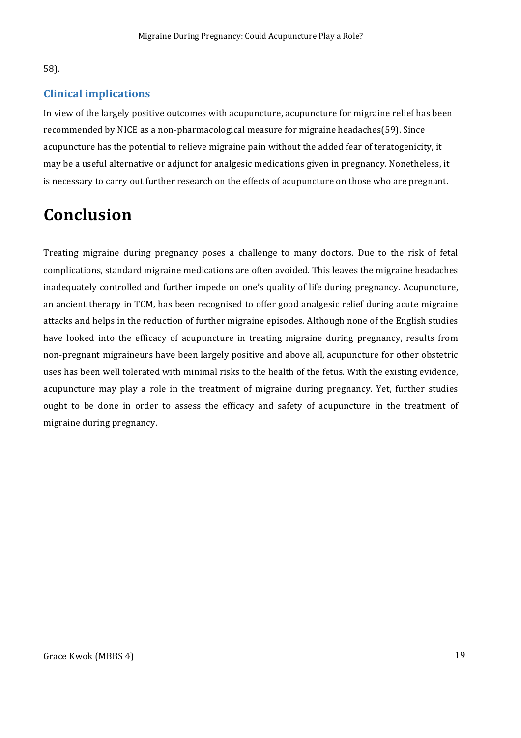#### 58).

#### **Clinical implications**

In view of the largely positive outcomes with acupuncture, acupuncture for migraine relief has been recommended by NICE as a non-pharmacological measure for migraine headaches(59). Since acupuncture has the potential to relieve migraine pain without the added fear of teratogenicity, it may be a useful alternative or adjunct for analgesic medications given in pregnancy. Nonetheless, it is necessary to carry out further research on the effects of acupuncture on those who are pregnant.

### **Conclusion**

Treating migraine during pregnancy poses a challenge to many doctors. Due to the risk of fetal complications, standard migraine medications are often avoided. This leaves the migraine headaches inadequately controlled and further impede on one's quality of life during pregnancy. Acupuncture, an ancient therapy in TCM, has been recognised to offer good analgesic relief during acute migraine attacks and helps in the reduction of further migraine episodes. Although none of the English studies have looked into the efficacy of acupuncture in treating migraine during pregnancy, results from non-pregnant migraineurs have been largely positive and above all, acupuncture for other obstetric uses has been well tolerated with minimal risks to the health of the fetus. With the existing evidence, acupuncture may play a role in the treatment of migraine during pregnancy. Yet, further studies ought to be done in order to assess the efficacy and safety of acupuncture in the treatment of migraine during pregnancy.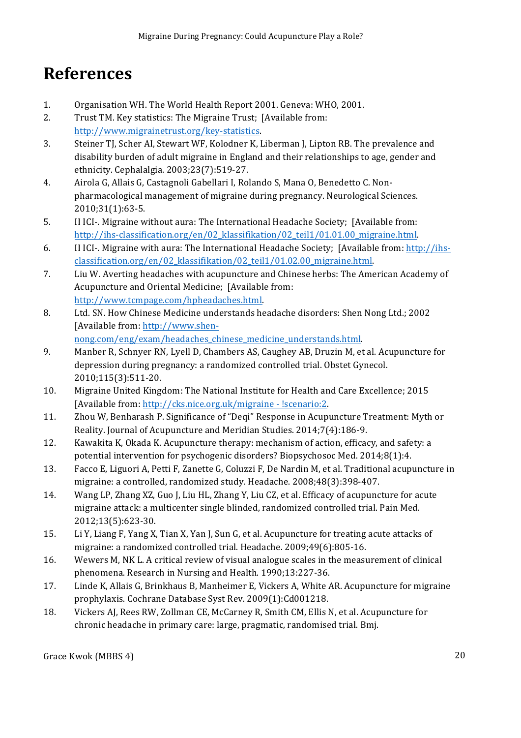### **References**

- 1. Organisation WH. The World Health Report 2001. Geneva: WHO, 2001.
- 2. Trust TM. Key statistics: The Migraine Trust; [Available from: http://www.migrainetrust.org/key-statistics.
- 3. Steiner TJ, Scher AI, Stewart WF, Kolodner K, Liberman J, Lipton RB. The prevalence and disability burden of adult migraine in England and their relationships to age, gender and ethnicity. Cephalalgia. 2003;23(7):519-27.
- 4. Airola G, Allais G, Castagnoli Gabellari I, Rolando S, Mana O, Benedetto C. Nonpharmacological management of migraine during pregnancy. Neurological Sciences. 2010;31(1):63-5.
- 5. II ICI-. Migraine without aura: The International Headache Society; [Available from: http://ihs-classification.org/en/02\_klassifikation/02\_teil1/01.01.00\_migraine.html.
- 6. II ICI-. Migraine with aura: The International Headache Society; [Available from: http://ihsclassification.org/en/02\_klassifikation/02\_teil1/01.02.00\_migraine.html.
- 7. Liu W. Averting headaches with acupuncture and Chinese herbs: The American Academy of Acupuncture and Oriental Medicine; [Available from: http://www.tcmpage.com/hpheadaches.html.
- 8. Ltd. SN. How Chinese Medicine understands headache disorders: Shen Nong Ltd.; 2002 [Available from: http://www.shennong.com/eng/exam/headaches\_chinese\_medicine\_understands.html.
- 9. Manber R, Schnyer RN, Lyell D, Chambers AS, Caughey AB, Druzin M, et al. Acupuncture for depression during pregnancy: a randomized controlled trial. Obstet Gynecol. 2010;115(3):511-20.
- 10. Migraine United Kingdom: The National Institute for Health and Care Excellence; 2015 [Available from: http://cks.nice.org.uk/migraine - !scenario:2.
- 11. Zhou W, Benharash P. Significance of "Deqi" Response in Acupuncture Treatment: Myth or Reality. Journal of Acupuncture and Meridian Studies. 2014;7(4):186-9.
- 12. Kawakita K, Okada K. Acupuncture therapy: mechanism of action, efficacy, and safety: a potential intervention for psychogenic disorders? Biopsychosoc Med. 2014;8(1):4.
- 13. Facco E, Liguori A, Petti F, Zanette G, Coluzzi F, De Nardin M, et al. Traditional acupuncture in migraine: a controlled, randomized study. Headache. 2008;48(3):398-407.
- 14. Wang LP, Zhang XZ, Guo J, Liu HL, Zhang Y, Liu CZ, et al. Efficacy of acupuncture for acute migraine attack: a multicenter single blinded, randomized controlled trial. Pain Med. 2012;13(5):623-30.
- 15. Li Y, Liang F, Yang X, Tian X, Yan J, Sun G, et al. Acupuncture for treating acute attacks of migraine: a randomized controlled trial. Headache. 2009;49(6):805-16.
- 16. Wewers M, NK L. A critical review of visual analogue scales in the measurement of clinical phenomena. Research in Nursing and Health. 1990;13:227-36.
- 17. Linde K, Allais G, Brinkhaus B, Manheimer E, Vickers A, White AR. Acupuncture for migraine prophylaxis. Cochrane Database Syst Rev. 2009(1):Cd001218.
- 18. Vickers AJ, Rees RW, Zollman CE, McCarney R, Smith CM, Ellis N, et al. Acupuncture for chronic headache in primary care: large, pragmatic, randomised trial. Bmj.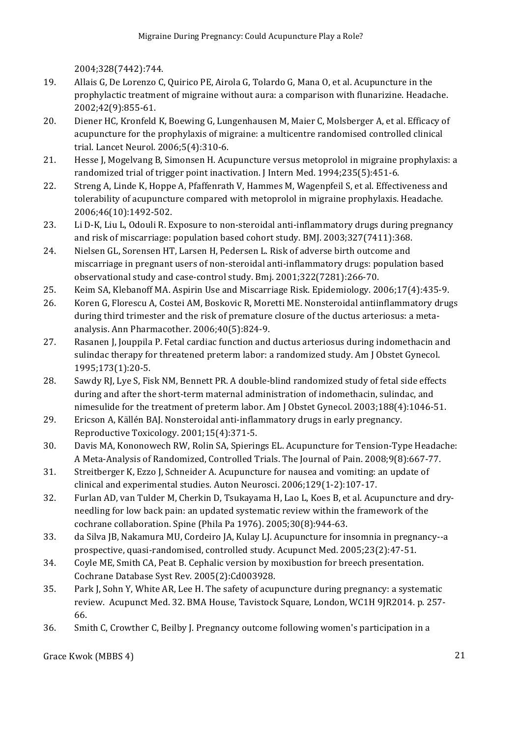2004;328(7442):744.

- 19. Allais G, De Lorenzo C, Quirico PE, Airola G, Tolardo G, Mana O, et al. Acupuncture in the prophylactic treatment of migraine without aura: a comparison with flunarizine. Headache. 2002;42(9):855-61.
- 20. Diener HC, Kronfeld K, Boewing G, Lungenhausen M, Maier C, Molsberger A, et al. Efficacy of acupuncture for the prophylaxis of migraine: a multicentre randomised controlled clinical trial. Lancet Neurol. 2006;5(4):310-6.
- 21. Hesse J, Mogelvang B, Simonsen H. Acupuncture versus metoprolol in migraine prophylaxis: a randomized trial of trigger point inactivation. J Intern Med. 1994;235(5):451-6.
- 22. Streng A, Linde K, Hoppe A, Pfaffenrath V, Hammes M, Wagenpfeil S, et al. Effectiveness and tolerability of acupuncture compared with metoprolol in migraine prophylaxis. Headache. 2006;46(10):1492-502.
- 23. Li D-K, Liu L, Odouli R. Exposure to non-steroidal anti-inflammatory drugs during pregnancy and risk of miscarriage: population based cohort study. BMJ.  $2003;327(7411):368$ .
- 24. Nielsen GL, Sorensen HT, Larsen H, Pedersen L. Risk of adverse birth outcome and miscarriage in pregnant users of non-steroidal anti-inflammatory drugs: population based observational study and case-control study. Bmj. 2001;322(7281):266-70.
- 25. Keim SA, Klebanoff MA. Aspirin Use and Miscarriage Risk. Epidemiology. 2006;17(4):435-9.
- 26. Koren G, Florescu A, Costei AM, Boskovic R, Moretti ME. Nonsteroidal antiinflammatory drugs during third trimester and the risk of premature closure of the ductus arteriosus: a metaanalysis. Ann Pharmacother. 2006;40(5):824-9.
- 27. Rasanen J, Jouppila P. Fetal cardiac function and ductus arteriosus during indomethacin and sulindac therapy for threatened preterm labor: a randomized study. Am J Obstet Gynecol. 1995;173(1):20-5.
- 28. Sawdy RJ, Lye S, Fisk NM, Bennett PR. A double-blind randomized study of fetal side effects during and after the short-term maternal administration of indomethacin, sulindac, and nimesulide for the treatment of preterm labor. Am J Obstet Gynecol. 2003;188(4):1046-51.
- 29. Ericson A, Källén BAJ. Nonsteroidal anti-inflammatory drugs in early pregnancy. Reproductive Toxicology. 2001;15(4):371-5.
- 30. Davis MA, Kononowech RW, Rolin SA, Spierings EL. Acupuncture for Tension-Type Headache: A Meta-Analysis of Randomized, Controlled Trials. The Journal of Pain. 2008;9(8):667-77.
- 31. Streitberger K, Ezzo J, Schneider A. Acupuncture for nausea and vomiting: an update of clinical and experimental studies. Auton Neurosci. 2006;129(1-2):107-17.
- 32. Furlan AD, van Tulder M, Cherkin D, Tsukayama H, Lao L, Koes B, et al. Acupuncture and dryneedling for low back pain: an updated systematic review within the framework of the cochrane collaboration. Spine (Phila Pa 1976). 2005;30(8):944-63.
- 33. da Silva JB, Nakamura MU, Cordeiro JA, Kulay LJ. Acupuncture for insomnia in pregnancy--a prospective, quasi-randomised, controlled study. Acupunct Med. 2005;23(2):47-51.
- 34. Coyle ME, Smith CA, Peat B. Cephalic version by moxibustion for breech presentation. Cochrane Database Syst Rev. 2005(2):Cd003928.
- 35. Park J, Sohn Y, White AR, Lee H. The safety of acupuncture during pregnancy: a systematic review. Acupunct Med. 32. BMA House, Tavistock Square, London, WC1H 9JR2014. p. 257-66.
- 36. Smith C, Crowther C, Beilby J. Pregnancy outcome following women's participation in a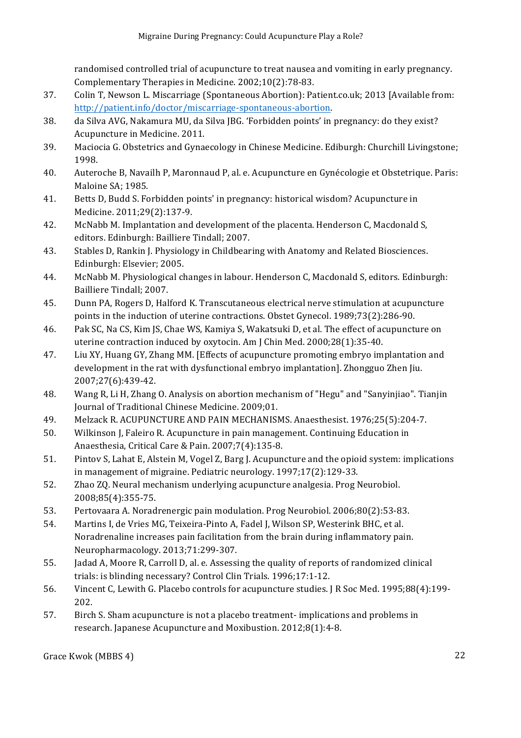randomised controlled trial of acupuncture to treat nausea and vomiting in early pregnancy. Complementary Therapies in Medicine. 2002;10(2):78-83.

- 37. Colin T, Newson L. Miscarriage (Spontaneous Abortion): Patient.co.uk; 2013 [Available from: http://patient.info/doctor/miscarriage-spontaneous-abortion.
- 38. da Silva AVG, Nakamura MU, da Silva JBG. 'Forbidden points' in pregnancy: do they exist? Acupuncture in Medicine. 2011.
- 39. Maciocia G. Obstetrics and Gynaecology in Chinese Medicine. Ediburgh: Churchill Livingstone; 1998.
- 40. Auteroche B, Navailh P, Maronnaud P, al. e. Acupuncture en Gynécologie et Obstetrique. Paris: Maloine SA; 1985.
- 41. Betts D, Budd S. Forbidden points' in pregnancy: historical wisdom? Acupuncture in Medicine. 2011;29(2):137-9.
- 42. McNabb M. Implantation and development of the placenta. Henderson C, Macdonald S, editors. Edinburgh: Bailliere Tindall; 2007.
- 43. Stables D, Rankin J. Physiology in Childbearing with Anatomy and Related Biosciences. Edinburgh: Elsevier; 2005.
- 44. McNabb M. Physiological changes in labour. Henderson C, Macdonald S, editors. Edinburgh: Bailliere Tindall; 2007.
- 45. Dunn PA, Rogers D, Halford K. Transcutaneous electrical nerve stimulation at acupuncture points in the induction of uterine contractions. Obstet Gynecol. 1989;73(2):286-90.
- 46. Pak SC, Na CS, Kim JS, Chae WS, Kamiya S, Wakatsuki D, et al. The effect of acupuncture on uterine contraction induced by oxytocin. Am J Chin Med. 2000;28(1):35-40.
- 47. Liu XY, Huang GY, Zhang MM. [Effects of acupuncture promoting embryo implantation and development in the rat with dysfunctional embryo implantation]. Zhongguo Zhen Jiu. 2007;27(6):439-42.
- 48. Wang R, Li H, Zhang O. Analysis on abortion mechanism of "Hegu" and "Sanyinjiao". Tianjin Journal of Traditional Chinese Medicine. 2009;01.
- 49. Melzack R. ACUPUNCTURE AND PAIN MECHANISMS. Anaesthesist. 1976;25(5):204-7.
- 50. Wilkinson J, Faleiro R. Acupuncture in pain management. Continuing Education in Anaesthesia, Critical Care & Pain. 2007;7(4):135-8.
- 51. Pintov S, Lahat E, Alstein M, Vogel Z, Barg J. Acupuncture and the opioid system: implications in management of migraine. Pediatric neurology. 1997;17(2):129-33.
- 52. Zhao ZQ. Neural mechanism underlying acupuncture analgesia. Prog Neurobiol. 2008;85(4):355-75.
- 53. Pertovaara A. Noradrenergic pain modulation. Prog Neurobiol. 2006;80(2):53-83.
- 54. Martins I, de Vries MG, Teixeira-Pinto A, Fadel J, Wilson SP, Westerink BHC, et al. Noradrenaline increases pain facilitation from the brain during inflammatory pain. Neuropharmacology. 2013;71:299-307.
- 55. **Jadad A, Moore R, Carroll D, al. e. Assessing the quality of reports of randomized clinical** trials: is blinding necessary? Control Clin Trials. 1996;17:1-12.
- 56. Vincent C, Lewith G. Placebo controls for acupuncture studies. J R Soc Med. 1995;88(4):199-202.
- 57. Birch S. Sham acupuncture is not a placebo treatment- implications and problems in research. Japanese Acupuncture and Moxibustion. 2012;8(1):4-8.